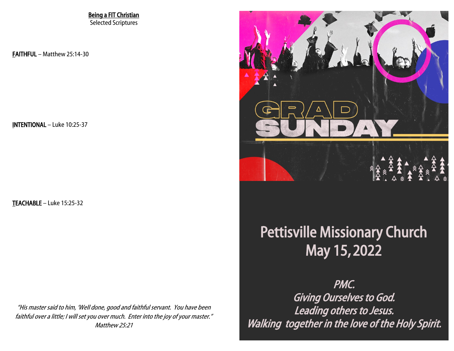Being a FIT Christian Selected Scriptures

FAITHFUL – Matthew 25:14-30

INTENTIONAL – Luke 10:25-37

TEACHABLE – Luke 15:25-32

"His master said to him, 'Well done, good and faithful servant. You have been faithful over a little; I will set you over much. Enter into the joy of your master." Matthew 25:21



## Pettisville Missionary Church Petris Republik Mission Republic Mission Church Mission Republic Analysis of the Mission Property American Section  $P$ May 15, 2022

Saturday, April 16 @ 7:00 PM of the sunday.<br>The 17 Giving Ourselves to God. Leading others to Jesus. PMC. Walking together in the love of the Holy Spirit.